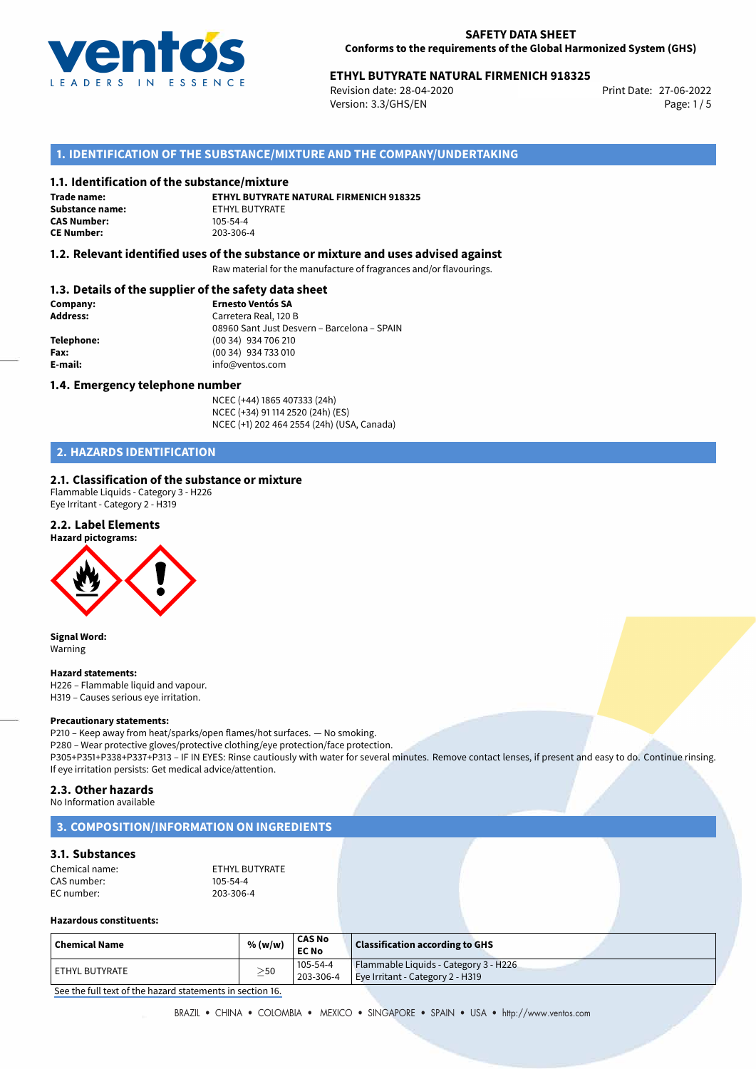

# 27-06-2022 **ETHYL BUTYRATE NATURAL FIRMENICH 918325**

Revision date: 28-04-2020 Version: 3.3/GHS/EN Page: 1/5

# **1. IDENTIFICATION OF THE SUBSTANCE/MIXTURE AND THE COMPANY/UNDERTAKING**

### **1.1. Identification of the substance/mixture**

**Trade name: CAS Number: CE Number:** 203-306-4

**ETHYL BUTYRATE NATURAL FIRMENICH 918325 Substance name:** ETHYL BUTYRATE<br> **CAS Number:** 105-54-4

## **1.2. Relevant identified uses of the substance or mixture and uses advised against**

Raw material for the manufacture of fragrances and/or flavourings.

# **1.3. Details of the supplier of the safety data sheet**

| Company:        | <b>Ernesto Ventós SA</b>                    |
|-----------------|---------------------------------------------|
| <b>Address:</b> | Carretera Real, 120 B                       |
|                 | 08960 Sant Just Desvern - Barcelona - SPAIN |
| Telephone:      | (00 34) 934 706 210                         |
| Fax:            | (00 34) 934 733 010                         |
| E-mail:         | info@ventos.com                             |
|                 |                                             |

### **1.4. Emergency telephone number**

NCEC (+44) 1865 407333 (24h) NCEC (+34) 91 114 2520 (24h) (ES) NCEC (+1) 202 464 2554 (24h) (USA, Canada)

# **2. HAZARDS IDENTIFICATION**

## **2.1. Classification of the substance or mixture**

Flammable Liquids - Category 3 - H226 Eye Irritant - Category 2 - H319

## **2.2. Label Elements**



**Signal Word:** Warning

### **Hazard statements:**

H226 – Flammable liquid and vapour. H319 – Causes serious eye irritation.

#### **Precautionary statements:**

P210 – Keep away from heat/sparks/open flames/hot surfaces. — No smoking. P280 – Wear protective gloves/protective clothing/eye protection/face protection. P305+P351+P338+P337+P313 – IF IN EYES: Rinse cautiously with water for several minutes. Remove contact lenses, if present and easy to do. Continue rinsing. If eye irritation persists: Get medical advice/attention.

## **2.3. Other hazards**

No Information available

# **3. COMPOSITION/INFORMATION ON INGREDIENTS**

# **3.1. Substances**

| Chemical name: | ETHYL BUTYRATE |
|----------------|----------------|
| CAS number:    | 105-54-4       |
| EC number:     | 203-306-4      |

#### **Hazardous constituents:**

| $\mid$ Chemical Name | % (w/w)   | <b>CAS No</b><br><b>EC No</b> | Classification according to GHS                                           |
|----------------------|-----------|-------------------------------|---------------------------------------------------------------------------|
| l ETHYL BUTYRATE     | $\geq$ 50 | 105-54-4<br>203-306-4         | Flammable Liquids - Category 3 - H226<br>Eye Irritant - Category 2 - H319 |

[See the full text of the hazard statements in section 16.](#page--1-0)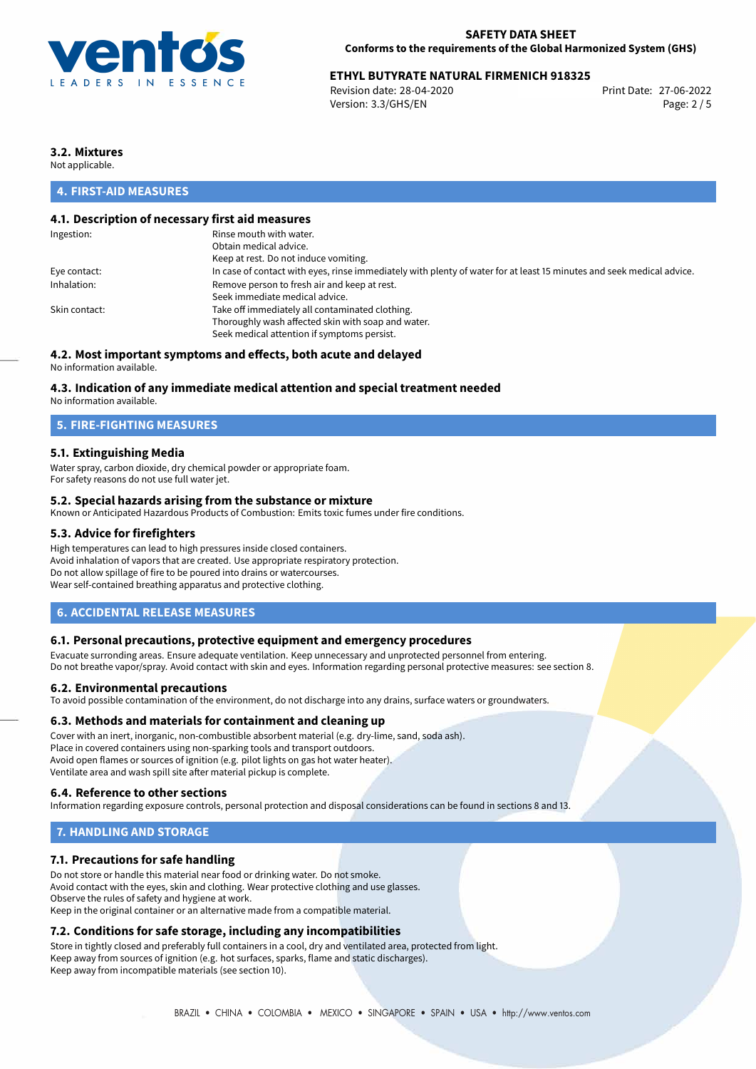

# **ETHYL BUTYRATE NATURAL FIRMENICH 918325**<br>Revision date: 28-04-2020<br>Print Date: 27-06-2022

Revision date: 28-04-2020 Version: 3.3/GHS/EN Page: 2 / 5

# **3.2. Mixtures**

Not applicable.

# **4. FIRST-AID MEASURES**

# **4.1. Description of necessary first aid measures**

| Rinse mouth with water.                                                                                               |
|-----------------------------------------------------------------------------------------------------------------------|
| Obtain medical advice.                                                                                                |
| Keep at rest. Do not induce vomiting.                                                                                 |
| In case of contact with eyes, rinse immediately with plenty of water for at least 15 minutes and seek medical advice. |
| Remove person to fresh air and keep at rest.                                                                          |
| Seek immediate medical advice.                                                                                        |
| Take off immediately all contaminated clothing.                                                                       |
| Thoroughly wash affected skin with soap and water.                                                                    |
| Seek medical attention if symptoms persist.                                                                           |
|                                                                                                                       |

# **4.2. Most important symptoms and effects, both acute and delayed**

No information available.

## **4.3. Indication of any immediate medical attention and special treatment needed**

No information available.

# **5. FIRE-FIGHTING MEASURES**

## **5.1. Extinguishing Media**

Water spray, carbon dioxide, dry chemical powder or appropriate foam. For safety reasons do not use full water jet.

## **5.2. Special hazards arising from the substance or mixture**

Known or Anticipated Hazardous Products of Combustion: Emits toxic fumes under fire conditions.

## **5.3. Advice for firefighters**

High temperatures can lead to high pressures inside closed containers. Avoid inhalation of vapors that are created. Use appropriate respiratory protection. Do not allow spillage of fire to be poured into drains or watercourses. Wear self-contained breathing apparatus and protective clothing.

## **6. ACCIDENTAL RELEASE MEASURES**

### **6.1. Personal precautions, protective equipment and emergency procedures**

Evacuate surronding areas. Ensure adequate ventilation. Keep unnecessary and unprotected personnel from entering. Do not breathe vapor/spray. Avoid contact with skin and eyes. Information regarding personal protective measures: see section 8.

### **6.2. Environmental precautions**

To avoid possible contamination of the environment, do not discharge into any drains, surface waters or groundwaters.

### **6.3. Methods and materials for containment and cleaning up**

Cover with an inert, inorganic, non-combustible absorbent material (e.g. dry-lime, sand, soda ash). Place in covered containers using non-sparking tools and transport outdoors. Avoid open flames or sources of ignition (e.g. pilot lights on gas hot water heater). Ventilate area and wash spill site after material pickup is complete.

## **6.4. Reference to other sections**

Information regarding exposure controls, personal protection and disposal considerations can be found in sections 8 and 13.

# **7. HANDLING AND STORAGE**

## **7.1. Precautions for safe handling**

Do not store or handle this material near food or drinking water. Do not smoke. Avoid contact with the eyes, skin and clothing. Wear protective clothing and use glasses. Observe the rules of safety and hygiene at work. Keep in the original container or an alternative made from a compatible material.

# **7.2. Conditions for safe storage, including any incompatibilities**

Store in tightly closed and preferably full containers in a cool, dry and ventilated area, protected from light. Keep away from sources of ignition (e.g. hot surfaces, sparks, flame and static discharges). Keep away from incompatible materials (see section 10).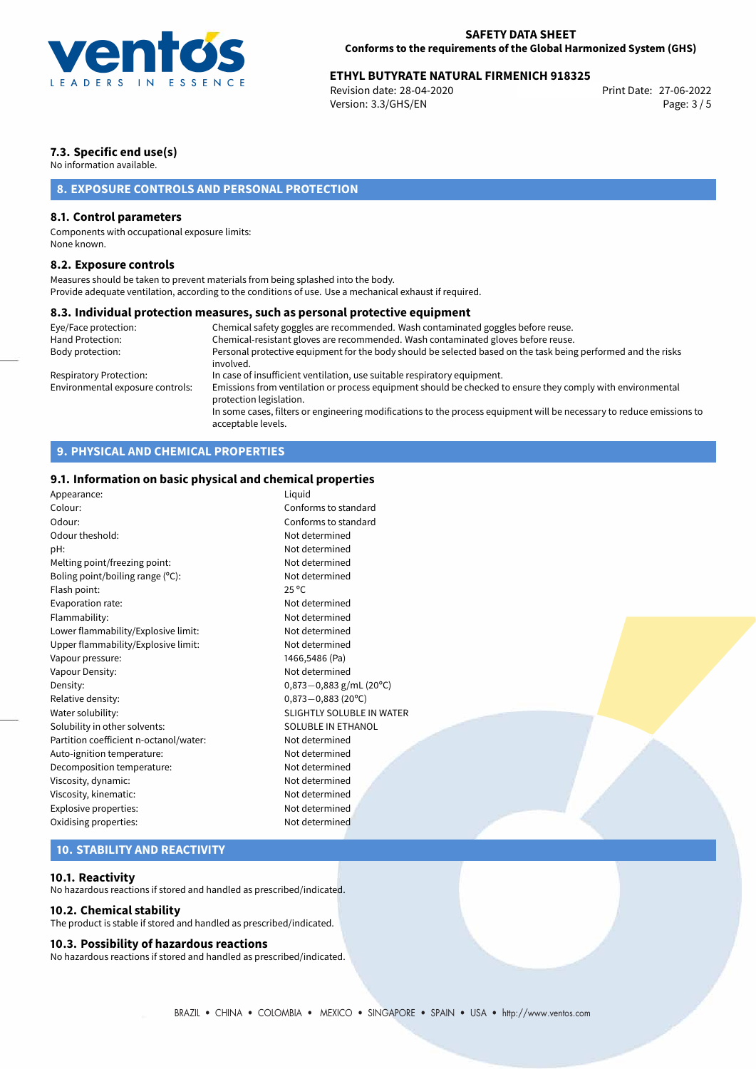

# **ETHYL BUTYRATE NATURAL FIRMENICH 918325**<br>Revision date: 28-04-2020<br>Print Date: 27-06-2022

Revision date: 28-04-2020 Version: 3.3/GHS/EN Page: 3 / 5

# **7.3. Specific end use(s)**

No information available.

# **8. EXPOSURE CONTROLS AND PERSONAL PROTECTION**

# **8.1. Control parameters**

Components with occupational exposure limits: None known.

### **8.2. Exposure controls**

Measures should be taken to prevent materials from being splashed into the body. Provide adequate ventilation, according to the conditions of use. Use a mechanical exhaust if required.

## **8.3. Individual protection measures, such as personal protective equipment**

| Eye/Face protection:             | Chemical safety goggles are recommended. Wash contaminated goggles before reuse.                                                            |
|----------------------------------|---------------------------------------------------------------------------------------------------------------------------------------------|
| Hand Protection:                 | Chemical-resistant gloves are recommended. Wash contaminated gloves before reuse.                                                           |
| Body protection:                 | Personal protective equipment for the body should be selected based on the task being performed and the risks<br>involved.                  |
| Respiratory Protection:          | In case of insufficient ventilation, use suitable respiratory equipment.                                                                    |
| Environmental exposure controls: | Emissions from ventilation or process equipment should be checked to ensure they comply with environmental<br>protection legislation.       |
|                                  | In some cases, filters or engineering modifications to the process equipment will be necessary to reduce emissions to<br>acceptable levels. |

# **9. PHYSICAL AND CHEMICAL PROPERTIES**

# **9.1. Information on basic physical and chemical properties**

| Appearance:                            | Liquid                           |  |
|----------------------------------------|----------------------------------|--|
| Colour:                                | Conforms to standard             |  |
| Odour:                                 | Conforms to standard             |  |
| Odour theshold:                        | Not determined                   |  |
| pH:                                    | Not determined                   |  |
| Melting point/freezing point:          | Not determined                   |  |
| Boling point/boiling range (°C):       | Not determined                   |  |
| Flash point:                           | $25^{\circ}$ C                   |  |
| Evaporation rate:                      | Not determined                   |  |
| Flammability:                          | Not determined                   |  |
| Lower flammability/Explosive limit:    | Not determined                   |  |
| Upper flammability/Explosive limit:    | Not determined                   |  |
| Vapour pressure:                       | 1466,5486 (Pa)                   |  |
| Vapour Density:                        | Not determined                   |  |
| Density:                               | $0,873-0,883$ g/mL (20°C)        |  |
| Relative density:                      | $0,873 - 0,883$ (20°C)           |  |
| Water solubility:                      | <b>SLIGHTLY SOLUBLE IN WATER</b> |  |
| Solubility in other solvents:          | <b>SOLUBLE IN ETHANOL</b>        |  |
| Partition coefficient n-octanol/water: | Not determined                   |  |
| Auto-ignition temperature:             | Not determined                   |  |
| Decomposition temperature:             | Not determined                   |  |
| Viscosity, dynamic:                    | Not determined                   |  |
| Viscosity, kinematic:                  | Not determined                   |  |
| Explosive properties:                  | Not determined                   |  |
| Oxidising properties:                  | Not determined                   |  |
|                                        |                                  |  |

# **10. STABILITY AND REACTIVITY**

### **10.1. Reactivity**

No hazardous reactions if stored and handled as prescribed/indicated.

### **10.2. Chemical stability**

The product is stable if stored and handled as prescribed/indicated.

### **10.3. Possibility of hazardous reactions**

No hazardous reactions if stored and handled as prescribed/indicated.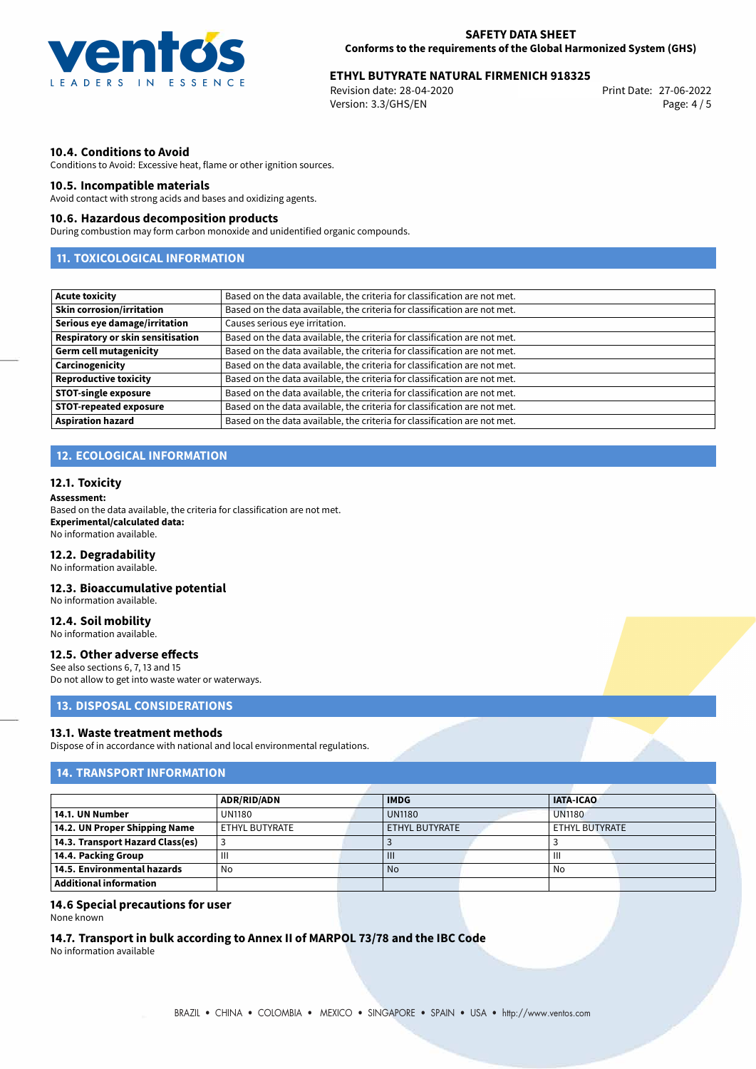

# 27-06-2022 **ETHYL BUTYRATE NATURAL FIRMENICH 918325**

Revision date: 28-04-2020 Version: 3.3/GHS/EN Page: 4 / 5

## **10.4. Conditions to Avoid**

Conditions to Avoid: Excessive heat, flame or other ignition sources.

## **10.5. Incompatible materials**

Avoid contact with strong acids and bases and oxidizing agents.

### **10.6. Hazardous decomposition products**

During combustion may form carbon monoxide and unidentified organic compounds.

# **11. TOXICOLOGICAL INFORMATION**

| <b>Acute toxicity</b>             | Based on the data available, the criteria for classification are not met. |
|-----------------------------------|---------------------------------------------------------------------------|
| <b>Skin corrosion/irritation</b>  | Based on the data available, the criteria for classification are not met. |
| Serious eye damage/irritation     | Causes serious eye irritation.                                            |
| Respiratory or skin sensitisation | Based on the data available, the criteria for classification are not met. |
| <b>Germ cell mutagenicity</b>     | Based on the data available, the criteria for classification are not met. |
| Carcinogenicity                   | Based on the data available, the criteria for classification are not met. |
| <b>Reproductive toxicity</b>      | Based on the data available, the criteria for classification are not met. |
| <b>STOT-single exposure</b>       | Based on the data available, the criteria for classification are not met. |
| <b>STOT-repeated exposure</b>     | Based on the data available, the criteria for classification are not met. |
| <b>Aspiration hazard</b>          | Based on the data available, the criteria for classification are not met. |

# **12. ECOLOGICAL INFORMATION**

### **12.1. Toxicity**

#### **Assessment:**

Based on the data available, the criteria for classification are not met. **Experimental/calculated data:** No information available.

#### **12.2. Degradability**

No information available.

### **12.3. Bioaccumulative potential**

No information available.

# **12.4. Soil mobility**

No information available.

### **12.5. Other adverse effects**

See also sections 6, 7, 13 and 15 Do not allow to get into waste water or waterways.

# **13. DISPOSAL CONSIDERATIONS**

### **13.1. Waste treatment methods**

Dispose of in accordance with national and local environmental regulations.

# **14. TRANSPORT INFORMATION**

|                                  | <b>ADR/RID/ADN</b> | <b>IATA-ICAO</b><br><b>IMDG</b> |               |                |  |
|----------------------------------|--------------------|---------------------------------|---------------|----------------|--|
| 14.1. UN Number                  | <b>UN1180</b>      | <b>UN1180</b>                   | <b>UN1180</b> |                |  |
| 14.2. UN Proper Shipping Name    | ETHYL BUTYRATE     | ETHYL BUTYRATE                  |               | ETHYL BUTYRATE |  |
| 14.3. Transport Hazard Class(es) |                    |                                 |               |                |  |
| 14.4. Packing Group              | Ш                  | $\mathbf{III}$                  |               | Ш              |  |
| 14.5. Environmental hazards      | No                 | <b>No</b>                       |               | No             |  |
| Additional information           |                    |                                 |               |                |  |

### **14.6 Special precautions for user**

None known

# **14.7. Transport in bulk according to Annex II of MARPOL 73/78 and the IBC Code**

No information available